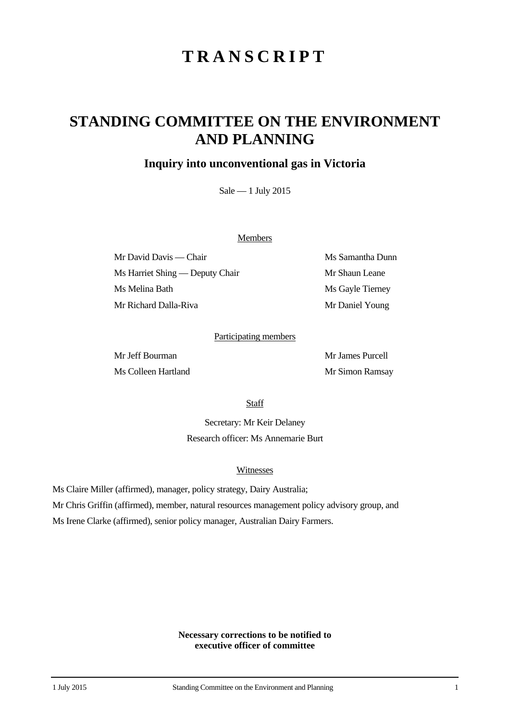# **TRANSCRIPT**

## **STANDING COMMITTEE ON THE ENVIRONMENT AND PLANNING**

### **Inquiry into unconventional gas in Victoria**

Sale — 1 July 2015

#### Members

Mr David Davis — Chair Ms Samantha Dunn Ms Harriet Shing — Deputy Chair Mr Shaun Leane Ms Melina Bath Ms Gayle Tierney Mr Richard Dalla-Riva Mr Daniel Young

#### Participating members

Mr Jeff Bourman Mr James Purcell Ms Colleen Hartland Mr Simon Ramsay

**Staff** 

Secretary: Mr Keir Delaney Research officer: Ms Annemarie Burt

#### Witnesses

Ms Claire Miller (affirmed), manager, policy strategy, Dairy Australia;

Mr Chris Griffin (affirmed), member, natural resources management policy advisory group, and

Ms Irene Clarke (affirmed), senior policy manager, Australian Dairy Farmers.

**Necessary corrections to be notified to executive officer of committee**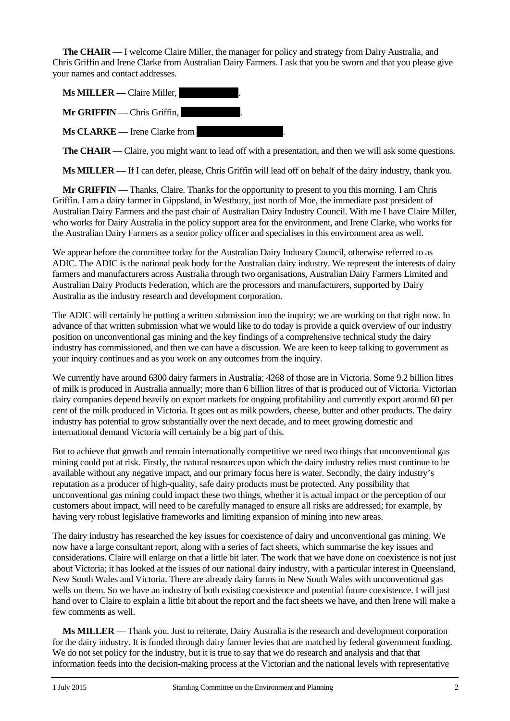**The CHAIR** — I welcome Claire Miller, the manager for policy and strategy from Dairy Australia, and Chris Griffin and Irene Clarke from Australian Dairy Farmers. I ask that you be sworn and that you please give your names and contact addresses.

**Ms MILLER** — Claire Miller,  $Mr$  **GRIFFIN** — Chris Griffin,  $\mathbf{M}s$  **CLARKE** — Irene Clarke from

**The CHAIR** — Claire, you might want to lead off with a presentation, and then we will ask some questions.

**Ms MILLER** — If I can defer, please, Chris Griffin will lead off on behalf of the dairy industry, thank you.

**Mr GRIFFIN** — Thanks, Claire. Thanks for the opportunity to present to you this morning. I am Chris Griffin. I am a dairy farmer in Gippsland, in Westbury, just north of Moe, the immediate past president of Australian Dairy Farmers and the past chair of Australian Dairy Industry Council. With me I have Claire Miller, who works for Dairy Australia in the policy support area for the environment, and Irene Clarke, who works for the Australian Dairy Farmers as a senior policy officer and specialises in this environment area as well.

We appear before the committee today for the Australian Dairy Industry Council, otherwise referred to as ADIC. The ADIC is the national peak body for the Australian dairy industry. We represent the interests of dairy farmers and manufacturers across Australia through two organisations, Australian Dairy Farmers Limited and Australian Dairy Products Federation, which are the processors and manufacturers, supported by Dairy Australia as the industry research and development corporation.

The ADIC will certainly be putting a written submission into the inquiry; we are working on that right now. In advance of that written submission what we would like to do today is provide a quick overview of our industry position on unconventional gas mining and the key findings of a comprehensive technical study the dairy industry has commissioned, and then we can have a discussion. We are keen to keep talking to government as your inquiry continues and as you work on any outcomes from the inquiry.

We currently have around 6300 dairy farmers in Australia; 4268 of those are in Victoria. Some 9.2 billion litres of milk is produced in Australia annually; more than 6 billion litres of that is produced out of Victoria. Victorian dairy companies depend heavily on export markets for ongoing profitability and currently export around 60 per cent of the milk produced in Victoria. It goes out as milk powders, cheese, butter and other products. The dairy industry has potential to grow substantially over the next decade, and to meet growing domestic and international demand Victoria will certainly be a big part of this.

But to achieve that growth and remain internationally competitive we need two things that unconventional gas mining could put at risk. Firstly, the natural resources upon which the dairy industry relies must continue to be available without any negative impact, and our primary focus here is water. Secondly, the dairy industry's reputation as a producer of high-quality, safe dairy products must be protected. Any possibility that unconventional gas mining could impact these two things, whether it is actual impact or the perception of our customers about impact, will need to be carefully managed to ensure all risks are addressed; for example, by having very robust legislative frameworks and limiting expansion of mining into new areas.

The dairy industry has researched the key issues for coexistence of dairy and unconventional gas mining. We now have a large consultant report, along with a series of fact sheets, which summarise the key issues and considerations. Claire will enlarge on that a little bit later. The work that we have done on coexistence is not just about Victoria; it has looked at the issues of our national dairy industry, with a particular interest in Queensland, New South Wales and Victoria. There are already dairy farms in New South Wales with unconventional gas wells on them. So we have an industry of both existing coexistence and potential future coexistence. I will just hand over to Claire to explain a little bit about the report and the fact sheets we have, and then Irene will make a few comments as well.

**Ms MILLER** — Thank you. Just to reiterate, Dairy Australia is the research and development corporation for the dairy industry. It is funded through dairy farmer levies that are matched by federal government funding. We do not set policy for the industry, but it is true to say that we do research and analysis and that that information feeds into the decision-making process at the Victorian and the national levels with representative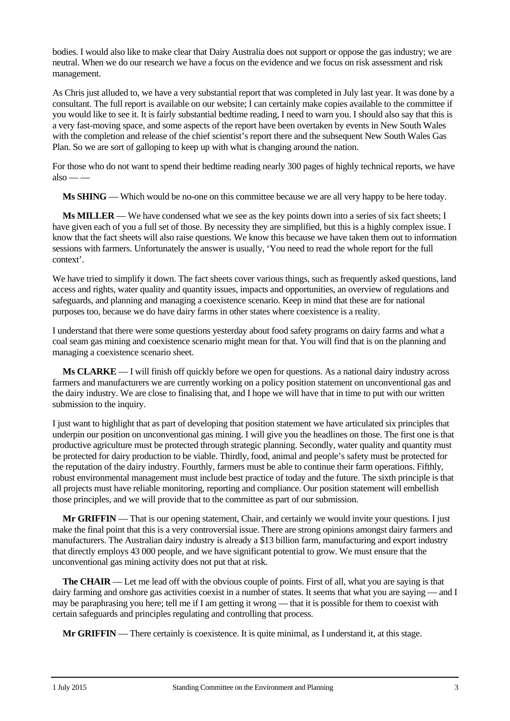bodies. I would also like to make clear that Dairy Australia does not support or oppose the gas industry; we are neutral. When we do our research we have a focus on the evidence and we focus on risk assessment and risk management.

As Chris just alluded to, we have a very substantial report that was completed in July last year. It was done by a consultant. The full report is available on our website; I can certainly make copies available to the committee if you would like to see it. It is fairly substantial bedtime reading, I need to warn you. I should also say that this is a very fast-moving space, and some aspects of the report have been overtaken by events in New South Wales with the completion and release of the chief scientist's report there and the subsequent New South Wales Gas Plan. So we are sort of galloping to keep up with what is changing around the nation.

For those who do not want to spend their bedtime reading nearly 300 pages of highly technical reports, we have  $also \_\_\_\$ 

**Ms SHING** — Which would be no-one on this committee because we are all very happy to be here today.

**Ms MILLER** — We have condensed what we see as the key points down into a series of six fact sheets; I have given each of you a full set of those. By necessity they are simplified, but this is a highly complex issue. I know that the fact sheets will also raise questions. We know this because we have taken them out to information sessions with farmers. Unfortunately the answer is usually, 'You need to read the whole report for the full context'.

We have tried to simplify it down. The fact sheets cover various things, such as frequently asked questions, land access and rights, water quality and quantity issues, impacts and opportunities, an overview of regulations and safeguards, and planning and managing a coexistence scenario. Keep in mind that these are for national purposes too, because we do have dairy farms in other states where coexistence is a reality.

I understand that there were some questions yesterday about food safety programs on dairy farms and what a coal seam gas mining and coexistence scenario might mean for that. You will find that is on the planning and managing a coexistence scenario sheet.

**Ms CLARKE** — I will finish off quickly before we open for questions. As a national dairy industry across farmers and manufacturers we are currently working on a policy position statement on unconventional gas and the dairy industry. We are close to finalising that, and I hope we will have that in time to put with our written submission to the inquiry.

I just want to highlight that as part of developing that position statement we have articulated six principles that underpin our position on unconventional gas mining. I will give you the headlines on those. The first one is that productive agriculture must be protected through strategic planning. Secondly, water quality and quantity must be protected for dairy production to be viable. Thirdly, food, animal and people's safety must be protected for the reputation of the dairy industry. Fourthly, farmers must be able to continue their farm operations. Fifthly, robust environmental management must include best practice of today and the future. The sixth principle is that all projects must have reliable monitoring, reporting and compliance. Our position statement will embellish those principles, and we will provide that to the committee as part of our submission.

**Mr GRIFFIN** — That is our opening statement, Chair, and certainly we would invite your questions. I just make the final point that this is a very controversial issue. There are strong opinions amongst dairy farmers and manufacturers. The Australian dairy industry is already a \$13 billion farm, manufacturing and export industry that directly employs 43 000 people, and we have significant potential to grow. We must ensure that the unconventional gas mining activity does not put that at risk.

**The CHAIR** — Let me lead off with the obvious couple of points. First of all, what you are saying is that dairy farming and onshore gas activities coexist in a number of states. It seems that what you are saying — and I may be paraphrasing you here; tell me if I am getting it wrong — that it is possible for them to coexist with certain safeguards and principles regulating and controlling that process.

**Mr GRIFFIN** — There certainly is coexistence. It is quite minimal, as I understand it, at this stage.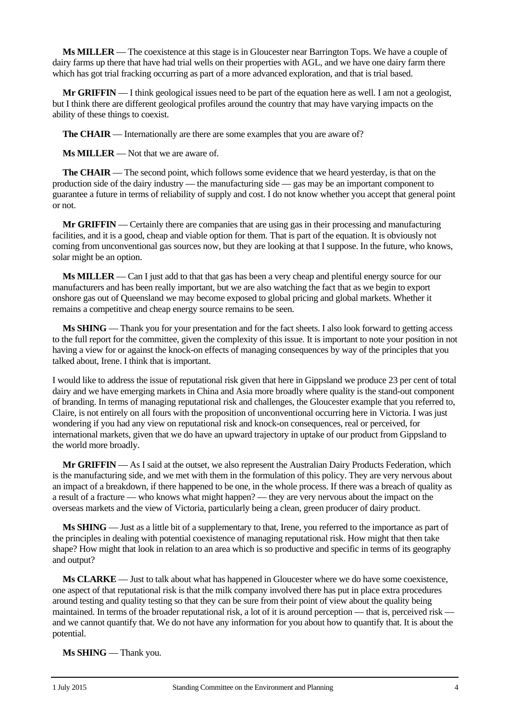**Ms MILLER** — The coexistence at this stage is in Gloucester near Barrington Tops. We have a couple of dairy farms up there that have had trial wells on their properties with AGL, and we have one dairy farm there which has got trial fracking occurring as part of a more advanced exploration, and that is trial based.

**Mr <b>GRIFFIN** — I think geological issues need to be part of the equation here as well. I am not a geologist, but I think there are different geological profiles around the country that may have varying impacts on the ability of these things to coexist.

**The CHAIR** — Internationally are there are some examples that you are aware of?

**Ms MILLER** — Not that we are aware of.

**The CHAIR** — The second point, which follows some evidence that we heard yesterday, is that on the production side of the dairy industry — the manufacturing side — gas may be an important component to guarantee a future in terms of reliability of supply and cost. I do not know whether you accept that general point or not.

**Mr GRIFFIN** — Certainly there are companies that are using gas in their processing and manufacturing facilities, and it is a good, cheap and viable option for them. That is part of the equation. It is obviously not coming from unconventional gas sources now, but they are looking at that I suppose. In the future, who knows, solar might be an option.

**Ms MILLER** — Can I just add to that that gas has been a very cheap and plentiful energy source for our manufacturers and has been really important, but we are also watching the fact that as we begin to export onshore gas out of Queensland we may become exposed to global pricing and global markets. Whether it remains a competitive and cheap energy source remains to be seen.

**Ms SHING** — Thank you for your presentation and for the fact sheets. I also look forward to getting access to the full report for the committee, given the complexity of this issue. It is important to note your position in not having a view for or against the knock-on effects of managing consequences by way of the principles that you talked about, Irene. I think that is important.

I would like to address the issue of reputational risk given that here in Gippsland we produce 23 per cent of total dairy and we have emerging markets in China and Asia more broadly where quality is the stand-out component of branding. In terms of managing reputational risk and challenges, the Gloucester example that you referred to, Claire, is not entirely on all fours with the proposition of unconventional occurring here in Victoria. I was just wondering if you had any view on reputational risk and knock-on consequences, real or perceived, for international markets, given that we do have an upward trajectory in uptake of our product from Gippsland to the world more broadly.

**Mr GRIFFIN** — As I said at the outset, we also represent the Australian Dairy Products Federation, which is the manufacturing side, and we met with them in the formulation of this policy. They are very nervous about an impact of a breakdown, if there happened to be one, in the whole process. If there was a breach of quality as a result of a fracture — who knows what might happen? — they are very nervous about the impact on the overseas markets and the view of Victoria, particularly being a clean, green producer of dairy product.

**Ms SHING** — Just as a little bit of a supplementary to that, Irene, you referred to the importance as part of the principles in dealing with potential coexistence of managing reputational risk. How might that then take shape? How might that look in relation to an area which is so productive and specific in terms of its geography and output?

**Ms CLARKE** — Just to talk about what has happened in Gloucester where we do have some coexistence, one aspect of that reputational risk is that the milk company involved there has put in place extra procedures around testing and quality testing so that they can be sure from their point of view about the quality being maintained. In terms of the broader reputational risk, a lot of it is around perception — that is, perceived risk and we cannot quantify that. We do not have any information for you about how to quantify that. It is about the potential.

**Ms SHING** — Thank you.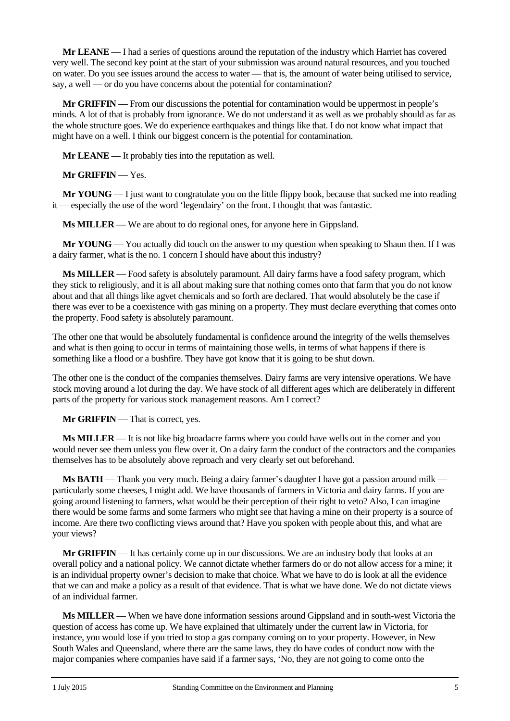**Mr LEANE** — I had a series of questions around the reputation of the industry which Harriet has covered very well. The second key point at the start of your submission was around natural resources, and you touched on water. Do you see issues around the access to water — that is, the amount of water being utilised to service, say, a well — or do you have concerns about the potential for contamination?

**Mr GRIFFIN** — From our discussions the potential for contamination would be uppermost in people's minds. A lot of that is probably from ignorance. We do not understand it as well as we probably should as far as the whole structure goes. We do experience earthquakes and things like that. I do not know what impact that might have on a well. I think our biggest concern is the potential for contamination.

**Mr LEANE** — It probably ties into the reputation as well.

**Mr GRIFFIN** — Yes.

**Mr YOUNG** — I just want to congratulate you on the little flippy book, because that sucked me into reading it — especially the use of the word 'legendairy' on the front. I thought that was fantastic.

**Ms MILLER** — We are about to do regional ones, for anyone here in Gippsland.

**Mr YOUNG** — You actually did touch on the answer to my question when speaking to Shaun then. If I was a dairy farmer, what is the no. 1 concern I should have about this industry?

**Ms MILLER** — Food safety is absolutely paramount. All dairy farms have a food safety program, which they stick to religiously, and it is all about making sure that nothing comes onto that farm that you do not know about and that all things like agvet chemicals and so forth are declared. That would absolutely be the case if there was ever to be a coexistence with gas mining on a property. They must declare everything that comes onto the property. Food safety is absolutely paramount.

The other one that would be absolutely fundamental is confidence around the integrity of the wells themselves and what is then going to occur in terms of maintaining those wells, in terms of what happens if there is something like a flood or a bushfire. They have got know that it is going to be shut down.

The other one is the conduct of the companies themselves. Dairy farms are very intensive operations. We have stock moving around a lot during the day. We have stock of all different ages which are deliberately in different parts of the property for various stock management reasons. Am I correct?

**Mr GRIFFIN** — That is correct, yes.

**Ms MILLER** — It is not like big broadacre farms where you could have wells out in the corner and you would never see them unless you flew over it. On a dairy farm the conduct of the contractors and the companies themselves has to be absolutely above reproach and very clearly set out beforehand.

**Ms BATH** — Thank you very much. Being a dairy farmer's daughter I have got a passion around milk particularly some cheeses, I might add. We have thousands of farmers in Victoria and dairy farms. If you are going around listening to farmers, what would be their perception of their right to veto? Also, I can imagine there would be some farms and some farmers who might see that having a mine on their property is a source of income. Are there two conflicting views around that? Have you spoken with people about this, and what are your views?

**Mr GRIFFIN** — It has certainly come up in our discussions. We are an industry body that looks at an overall policy and a national policy. We cannot dictate whether farmers do or do not allow access for a mine; it is an individual property owner's decision to make that choice. What we have to do is look at all the evidence that we can and make a policy as a result of that evidence. That is what we have done. We do not dictate views of an individual farmer.

**Ms MILLER** — When we have done information sessions around Gippsland and in south-west Victoria the question of access has come up. We have explained that ultimately under the current law in Victoria, for instance, you would lose if you tried to stop a gas company coming on to your property. However, in New South Wales and Queensland, where there are the same laws, they do have codes of conduct now with the major companies where companies have said if a farmer says, 'No, they are not going to come onto the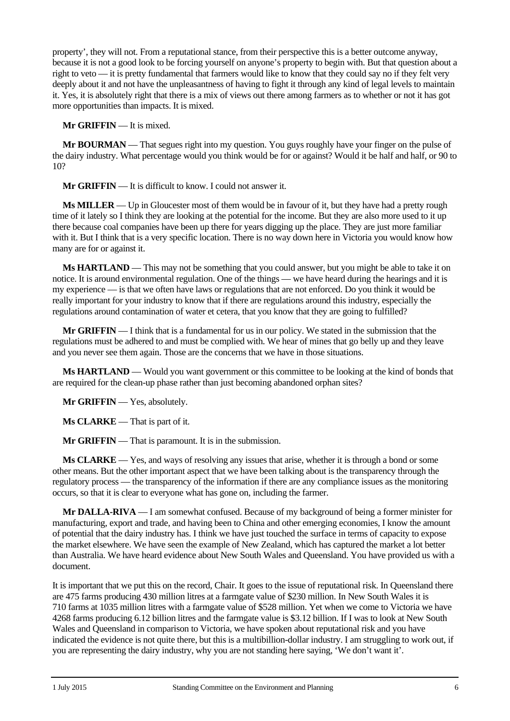property', they will not. From a reputational stance, from their perspective this is a better outcome anyway, because it is not a good look to be forcing yourself on anyone's property to begin with. But that question about a right to veto — it is pretty fundamental that farmers would like to know that they could say no if they felt very deeply about it and not have the unpleasantness of having to fight it through any kind of legal levels to maintain it. Yes, it is absolutely right that there is a mix of views out there among farmers as to whether or not it has got more opportunities than impacts. It is mixed.

**Mr GRIFFIN** — It is mixed.

**Mr BOURMAN** — That segues right into my question. You guys roughly have your finger on the pulse of the dairy industry. What percentage would you think would be for or against? Would it be half and half, or 90 to 10?

**Mr GRIFFIN** — It is difficult to know. I could not answer it.

**Ms MILLER** — Up in Gloucester most of them would be in favour of it, but they have had a pretty rough time of it lately so I think they are looking at the potential for the income. But they are also more used to it up there because coal companies have been up there for years digging up the place. They are just more familiar with it. But I think that is a very specific location. There is no way down here in Victoria you would know how many are for or against it.

**Ms HARTLAND** — This may not be something that you could answer, but you might be able to take it on notice. It is around environmental regulation. One of the things — we have heard during the hearings and it is my experience — is that we often have laws or regulations that are not enforced. Do you think it would be really important for your industry to know that if there are regulations around this industry, especially the regulations around contamination of water et cetera, that you know that they are going to fulfilled?

**Mr GRIFFIN** — I think that is a fundamental for us in our policy. We stated in the submission that the regulations must be adhered to and must be complied with. We hear of mines that go belly up and they leave and you never see them again. Those are the concerns that we have in those situations.

**Ms HARTLAND** — Would you want government or this committee to be looking at the kind of bonds that are required for the clean-up phase rather than just becoming abandoned orphan sites?

**Mr GRIFFIN** — Yes, absolutely.

**Ms CLARKE** — That is part of it.

**Mr GRIFFIN** — That is paramount. It is in the submission.

**Ms CLARKE** — Yes, and ways of resolving any issues that arise, whether it is through a bond or some other means. But the other important aspect that we have been talking about is the transparency through the regulatory process — the transparency of the information if there are any compliance issues as the monitoring occurs, so that it is clear to everyone what has gone on, including the farmer.

**Mr DALLA-RIVA** — I am somewhat confused. Because of my background of being a former minister for manufacturing, export and trade, and having been to China and other emerging economies, I know the amount of potential that the dairy industry has. I think we have just touched the surface in terms of capacity to expose the market elsewhere. We have seen the example of New Zealand, which has captured the market a lot better than Australia. We have heard evidence about New South Wales and Queensland. You have provided us with a document.

It is important that we put this on the record, Chair. It goes to the issue of reputational risk. In Queensland there are 475 farms producing 430 million litres at a farmgate value of \$230 million. In New South Wales it is 710 farms at 1035 million litres with a farmgate value of \$528 million. Yet when we come to Victoria we have 4268 farms producing 6.12 billion litres and the farmgate value is \$3.12 billion. If I was to look at New South Wales and Queensland in comparison to Victoria, we have spoken about reputational risk and you have indicated the evidence is not quite there, but this is a multibillion-dollar industry. I am struggling to work out, if you are representing the dairy industry, why you are not standing here saying, 'We don't want it'.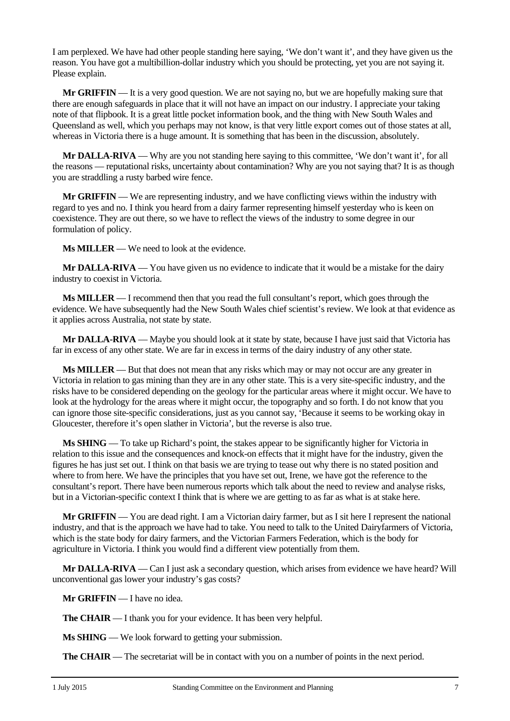I am perplexed. We have had other people standing here saying, 'We don't want it', and they have given us the reason. You have got a multibillion-dollar industry which you should be protecting, yet you are not saying it. Please explain.

**Mr GRIFFIN** — It is a very good question. We are not saying no, but we are hopefully making sure that there are enough safeguards in place that it will not have an impact on our industry. I appreciate your taking note of that flipbook. It is a great little pocket information book, and the thing with New South Wales and Queensland as well, which you perhaps may not know, is that very little export comes out of those states at all, whereas in Victoria there is a huge amount. It is something that has been in the discussion, absolutely.

**Mr DALLA-RIVA** — Why are you not standing here saying to this committee, 'We don't want it', for all the reasons — reputational risks, uncertainty about contamination? Why are you not saying that? It is as though you are straddling a rusty barbed wire fence.

**Mr GRIFFIN** — We are representing industry, and we have conflicting views within the industry with regard to yes and no. I think you heard from a dairy farmer representing himself yesterday who is keen on coexistence. They are out there, so we have to reflect the views of the industry to some degree in our formulation of policy.

**Ms MILLER** — We need to look at the evidence.

**Mr DALLA-RIVA** — You have given us no evidence to indicate that it would be a mistake for the dairy industry to coexist in Victoria.

**Ms MILLER** — I recommend then that you read the full consultant's report, which goes through the evidence. We have subsequently had the New South Wales chief scientist's review. We look at that evidence as it applies across Australia, not state by state.

**Mr DALLA-RIVA** — Maybe you should look at it state by state, because I have just said that Victoria has far in excess of any other state. We are far in excess in terms of the dairy industry of any other state.

**Ms MILLER** — But that does not mean that any risks which may or may not occur are any greater in Victoria in relation to gas mining than they are in any other state. This is a very site-specific industry, and the risks have to be considered depending on the geology for the particular areas where it might occur. We have to look at the hydrology for the areas where it might occur, the topography and so forth. I do not know that you can ignore those site-specific considerations, just as you cannot say, 'Because it seems to be working okay in Gloucester, therefore it's open slather in Victoria', but the reverse is also true.

**Ms SHING** — To take up Richard's point, the stakes appear to be significantly higher for Victoria in relation to this issue and the consequences and knock-on effects that it might have for the industry, given the figures he has just set out. I think on that basis we are trying to tease out why there is no stated position and where to from here. We have the principles that you have set out, Irene, we have got the reference to the consultant's report. There have been numerous reports which talk about the need to review and analyse risks, but in a Victorian-specific context I think that is where we are getting to as far as what is at stake here.

**Mr GRIFFIN** — You are dead right. I am a Victorian dairy farmer, but as I sit here I represent the national industry, and that is the approach we have had to take. You need to talk to the United Dairyfarmers of Victoria, which is the state body for dairy farmers, and the Victorian Farmers Federation, which is the body for agriculture in Victoria. I think you would find a different view potentially from them.

**Mr DALLA-RIVA** — Can I just ask a secondary question, which arises from evidence we have heard? Will unconventional gas lower your industry's gas costs?

**Mr GRIFFIN** — I have no idea.

**The CHAIR** — I thank you for your evidence. It has been very helpful.

**Ms SHING** — We look forward to getting your submission.

**The CHAIR** — The secretariat will be in contact with you on a number of points in the next period.